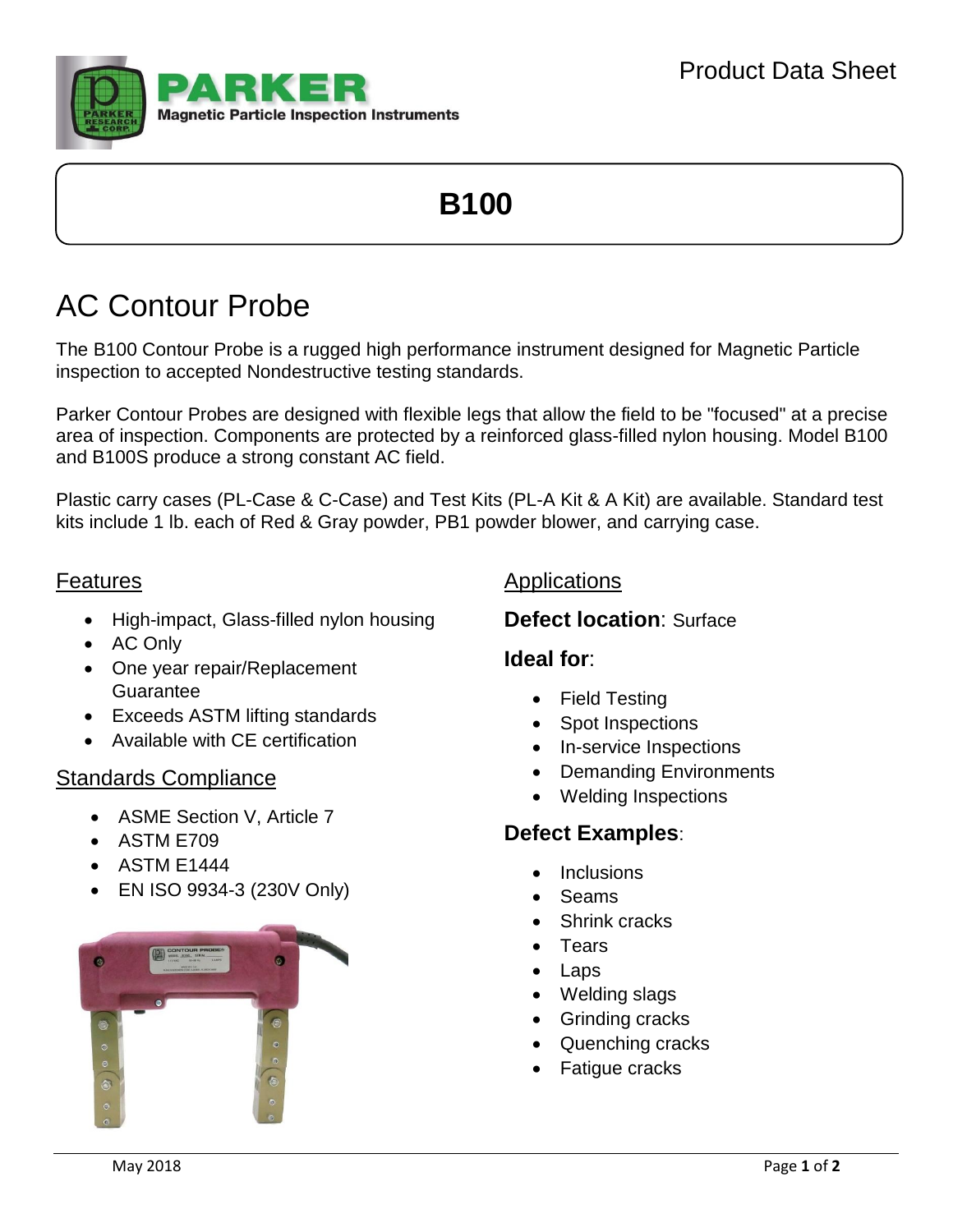

# **B100**

## AC Contour Probe

The B100 Contour Probe is a rugged high performance instrument designed for Magnetic Particle inspection to accepted Nondestructive testing standards.

Parker Contour Probes are designed with flexible legs that allow the field to be "focused" at a precise area of inspection. Components are protected by a reinforced glass-filled nylon housing. Model B100 and B100S produce a strong constant AC field.

Plastic carry cases (PL-Case & C-Case) and Test Kits (PL-A Kit & A Kit) are available. Standard test kits include 1 lb. each of Red & Gray powder, PB1 powder blower, and carrying case.

#### Features

- High-impact, Glass-filled nylon housing
- AC Only
- One year repair/Replacement Guarantee
- Exceeds ASTM lifting standards
- Available with CE certification

#### Standards Compliance

- ASME Section V, Article 7
- ASTM E709
- ASTM E1444
- EN ISO 9934-3 (230V Only)



#### Applications

#### **Defect location**: Surface

#### **Ideal for**:

- Field Testing
- Spot Inspections
- In-service Inspections
- Demanding Environments
- Welding Inspections

#### **Defect Examples**:

- **Inclusions**
- Seams
- Shrink cracks
- **Tears**
- Laps
- Welding slags
- Grinding cracks
- Quenching cracks
- Fatigue cracks